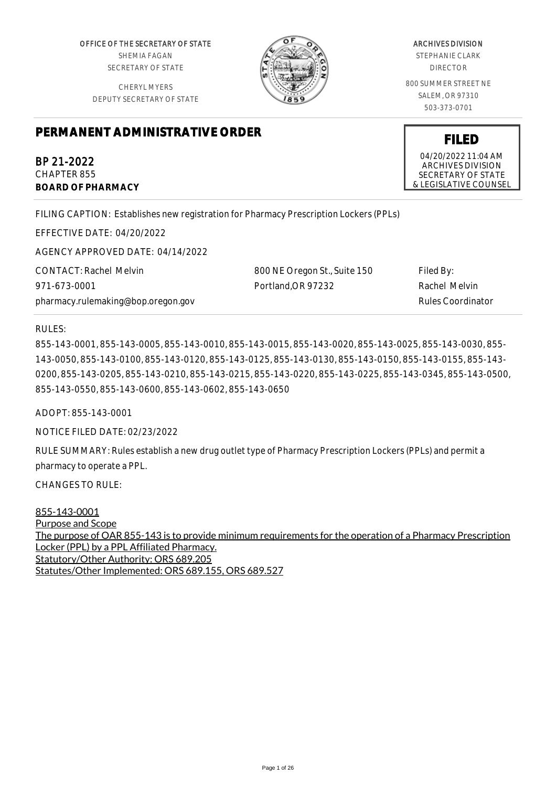OFFICE OF THE SECRETARY OF STATE SHEMIA FAGAN SECRETARY OF STATE

CHERYL MYERS DEPUTY SECRETARY OF STATE



# ARCHIVES DIVISION

STEPHANIE CLARK DIRECTOR

800 SUMMER STREET NE SALEM, OR 97310 503-373-0701

# **PERMANENT ADMINISTRATIVE ORDER**

BP 21-2022 CHAPTER 855 **BOARD OF PHARMACY**

FILING CAPTION: Establishes new registration for Pharmacy Prescription Lockers (PPLs)

EFFECTIVE DATE: 04/20/2022

AGENCY APPROVED DATE: 04/14/2022

CONTACT: Rachel Melvin 971-673-0001 pharmacy.rulemaking@bop.oregon.gov 800 NE Oregon St., Suite 150 Portland,OR 97232 Filed By: Rachel Melvin Rules Coordinator

RULES:

855-143-0001, 855-143-0005, 855-143-0010, 855-143-0015, 855-143-0020, 855-143-0025, 855-143-0030, 855- 143-0050, 855-143-0100, 855-143-0120, 855-143-0125, 855-143-0130, 855-143-0150, 855-143-0155, 855-143- 0200, 855-143-0205, 855-143-0210, 855-143-0215, 855-143-0220, 855-143-0225, 855-143-0345, 855-143-0500, 855-143-0550, 855-143-0600, 855-143-0602, 855-143-0650

ADOPT: 855-143-0001

NOTICE FILED DATE: 02/23/2022

RULE SUMMARY: Rules establish a new drug outlet type of Pharmacy Prescription Lockers (PPLs) and permit a pharmacy to operate a PPL.

CHANGES TO RULE:

855-143-0001 Purpose and Scope The purpose of OAR 855-143 is to provide minimum requirements for the operation of a Pharmacy Prescription Locker (PPL) by a PPL Affiliated Pharmacy. Statutory/Other Authority: ORS 689.205 Statutes/Other Implemented: ORS 689.155, ORS 689.527

# **FILED**

04/20/2022 11:04 AM ARCHIVES DIVISION SECRETARY OF STATE & LEGISLATIVE COUNSEL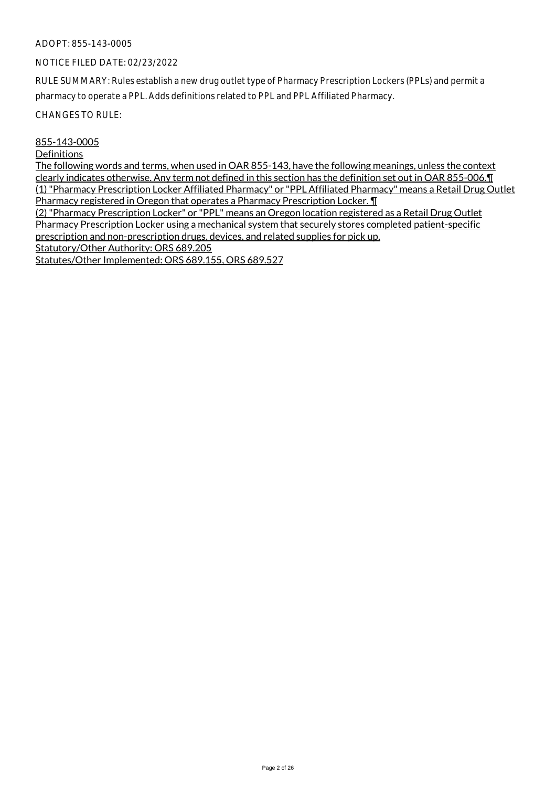#### NOTICE FILED DATE: 02/23/2022

RULE SUMMARY: Rules establish a new drug outlet type of Pharmacy Prescription Lockers (PPLs) and permit a pharmacy to operate a PPL. Adds definitions related to PPL and PPL Affiliated Pharmacy.

CHANGES TO RULE:

#### 855-143-0005

#### **Definitions**

The following words and terms, when used in OAR 855-143, have the following meanings, unless the context clearly indicates otherwise. Any term not defined in this section has the definition set out in OAR 855-006.¶ (1) "Pharmacy Prescription Locker Affiliated Pharmacy" or "PPL Affiliated Pharmacy" means a Retail Drug Outlet Pharmacy registered in Oregon that operates a Pharmacy Prescription Locker. ¶

(2) "Pharmacy Prescription Locker" or "PPL" means an Oregon location registered as a Retail Drug Outlet Pharmacy Prescription Locker using a mechanical system that securely stores completed patient-specific prescription and non-prescription drugs, devices, and related supplies for pick up.

Statutory/Other Authority: ORS 689.205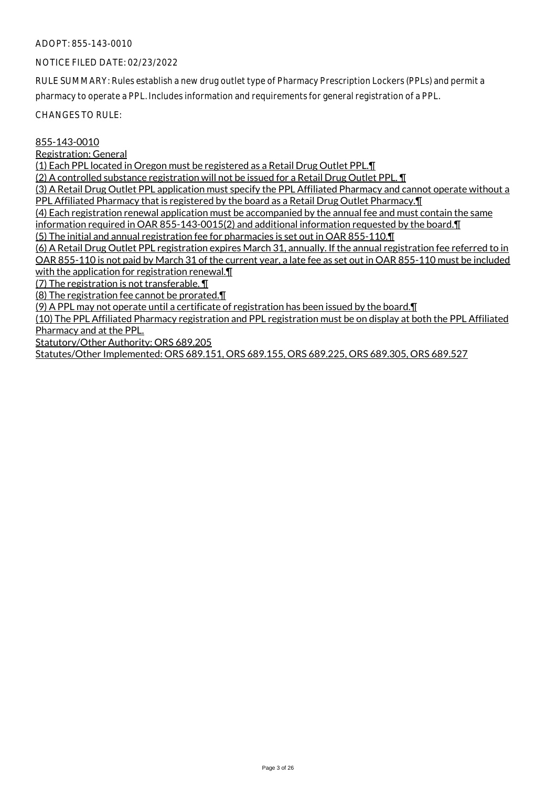# NOTICE FILED DATE: 02/23/2022

RULE SUMMARY: Rules establish a new drug outlet type of Pharmacy Prescription Lockers (PPLs) and permit a pharmacy to operate a PPL. Includes information and requirements for general registration of a PPL.

CHANGES TO RULE:

#### 855-143-0010

Registration: General

(1) Each PPL located in Oregon must be registered as a Retail Drug Outlet PPL.¶

(2) A controlled substance registration will not be issued for a Retail Drug Outlet PPL. ¶

(3) A Retail Drug Outlet PPL application must specify the PPL Affiliated Pharmacy and cannot operate without a

PPL Affiliated Pharmacy that is registered by the board as a Retail Drug Outlet Pharmacy.¶

(4) Each registration renewal application must be accompanied by the annual fee and must contain the same

information required in OAR 855-143-0015(2) and additional information requested by the board.¶ (5) The initial and annual registration fee for pharmacies is set out in OAR 855-110.¶

(6) A Retail Drug Outlet PPL registration expires March 31, annually. If the annual registration fee referred to in OAR 855-110 is not paid by March 31 of the current year, a late fee as set out in OAR 855-110 must be included

with the application for registration renewal.

(7) The registration is not transferable. ¶

(8) The registration fee cannot be prorated.¶

(9) A PPL may not operate until a certificate of registration has been issued by the board.¶

(10) The PPL Affiliated Pharmacy registration and PPL registration must be on display at both the PPL Affiliated Pharmacy and at the PPL.

Statutory/Other Authority: ORS 689.205

Statutes/Other Implemented: ORS 689.151, ORS 689.155, ORS 689.225, ORS 689.305, ORS 689.527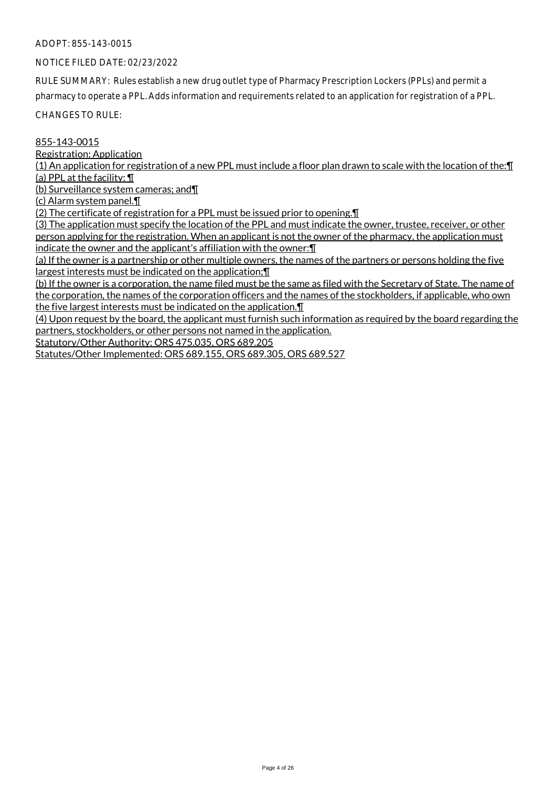# NOTICE FILED DATE: 02/23/2022

RULE SUMMARY: Rules establish a new drug outlet type of Pharmacy Prescription Lockers (PPLs) and permit a pharmacy to operate a PPL. Adds information and requirements related to an application for registration of a PPL.

CHANGES TO RULE:

# 855-143-0015

Registration: Application

(1) An application for registration of a new PPL must include a floor plan drawn to scale with the location of the:¶ (a) PPL at the facility; ¶

(b) Surveillance system cameras; and¶

(c) Alarm system panel.¶

(2) The certificate of registration for a PPL must be issued prior to opening.¶

(3) The application must specify the location of the PPL and must indicate the owner, trustee, receiver, or other person applying for the registration. When an applicant is not the owner of the pharmacy, the application must indicate the owner and the applicant's affiliation with the owner:¶

(a) If the owner is a partnership or other multiple owners, the names of the partners or persons holding the five largest interests must be indicated on the application;¶

(b) If the owner is a corporation, the name filed must be the same as filed with the Secretary of State. The name of the corporation, the names of the corporation officers and the names of the stockholders, if applicable, who own the five largest interests must be indicated on the application.¶

(4) Upon request by the board, the applicant must furnish such information as required by the board regarding the partners, stockholders, or other persons not named in the application.

Statutory/Other Authority: ORS 475.035, ORS 689.205

Statutes/Other Implemented: ORS 689.155, ORS 689.305, ORS 689.527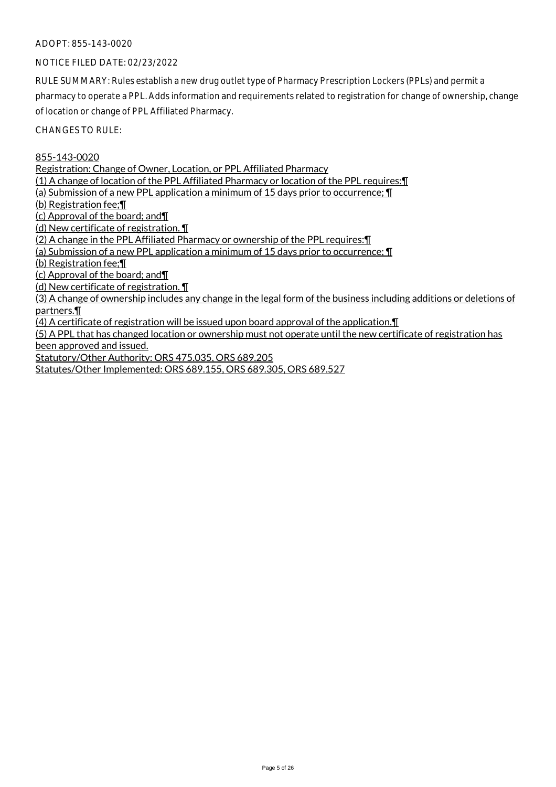# NOTICE FILED DATE: 02/23/2022

RULE SUMMARY: Rules establish a new drug outlet type of Pharmacy Prescription Lockers (PPLs) and permit a pharmacy to operate a PPL. Adds information and requirements related to registration for change of ownership, change of location or change of PPL Affiliated Pharmacy.

CHANGES TO RULE:

855-143-0020

Registration: Change of Owner, Location, or PPL Affiliated Pharmacy

(1) A change of location of the PPL Affiliated Pharmacy or location of the PPL requires:¶

(a) Submission of a new PPL application a minimum of 15 days prior to occurrence; ¶

(b) Registration fee;¶

(c) Approval of the board; and¶

(d) New certificate of registration. ¶

(2) A change in the PPL Affiliated Pharmacy or ownership of the PPL requires:¶

(a) Submission of a new PPL application a minimum of 15 days prior to occurrence; ¶

(b) Registration fee;¶

(c) Approval of the board; and¶

(d) New certificate of registration. ¶

(3) A change of ownership includes any change in the legal form of the business including additions or deletions of partners.¶

(4) A certificate of registration will be issued upon board approval of the application.¶

(5) A PPL that has changed location or ownership must not operate until the new certificate of registration has been approved and issued.

Statutory/Other Authority: ORS 475.035, ORS 689.205

Statutes/Other Implemented: ORS 689.155, ORS 689.305, ORS 689.527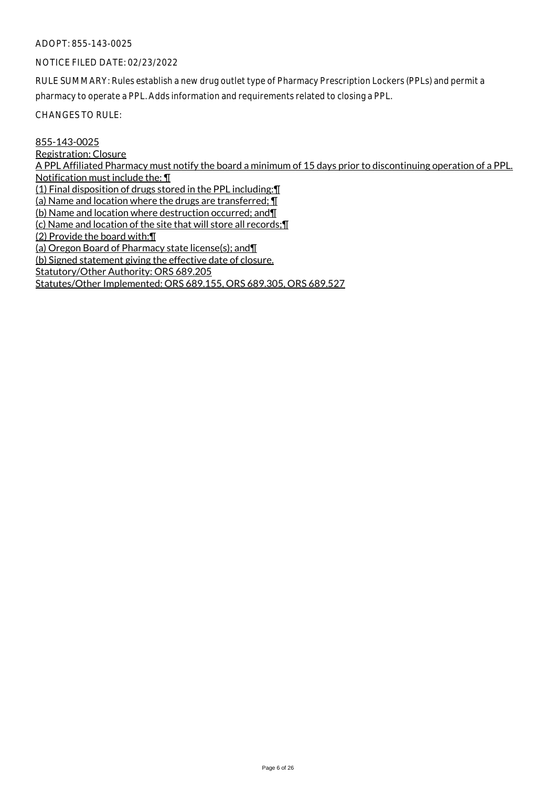#### NOTICE FILED DATE: 02/23/2022

RULE SUMMARY: Rules establish a new drug outlet type of Pharmacy Prescription Lockers (PPLs) and permit a pharmacy to operate a PPL. Adds information and requirements related to closing a PPL.

CHANGES TO RULE:

# 855-143-0025

Registration: Closure A PPL Affiliated Pharmacy must notify the board a minimum of 15 days prior to discontinuing operation of a PPL. Notification must include the: ¶ (1) Final disposition of drugs stored in the PPL including:¶ (a) Name and location where the drugs are transferred; ¶ (b) Name and location where destruction occurred; and¶ (c) Name and location of the site that will store all records;¶ (2) Provide the board with:¶ (a) Oregon Board of Pharmacy state license(s); and¶ (b) Signed statement giving the effective date of closure. Statutory/Other Authority: ORS 689.205 Statutes/Other Implemented: ORS 689.155, ORS 689.305, ORS 689.527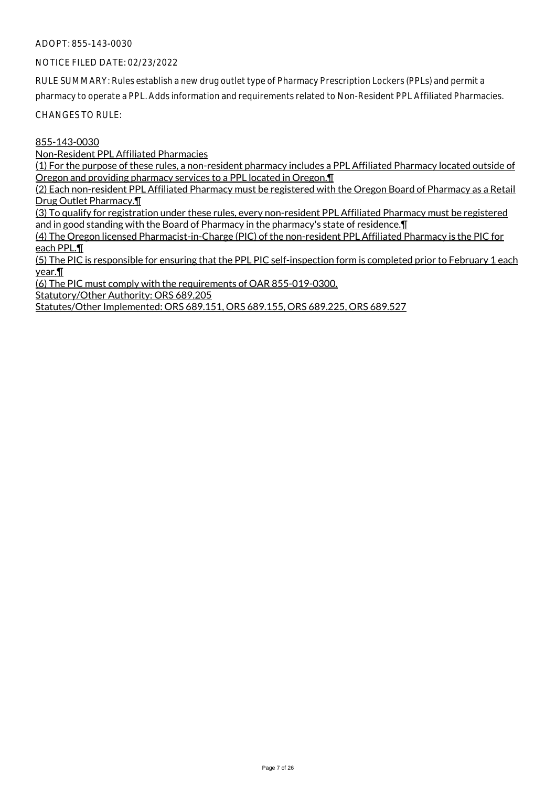NOTICE FILED DATE: 02/23/2022

RULE SUMMARY: Rules establish a new drug outlet type of Pharmacy Prescription Lockers (PPLs) and permit a pharmacy to operate a PPL. Adds information and requirements related to Non-Resident PPL Affiliated Pharmacies.

CHANGES TO RULE:

855-143-0030

Non-Resident PPL Affiliated Pharmacies

(1) For the purpose of these rules, a non-resident pharmacy includes a PPL Affiliated Pharmacy located outside of Oregon and providing pharmacy services to a PPL located in Oregon.¶

(2) Each non-resident PPL Affiliated Pharmacy must be registered with the Oregon Board of Pharmacy as a Retail Drug Outlet Pharmacy.¶

(3) To qualify for registration under these rules, every non-resident PPL Affiliated Pharmacy must be registered and in good standing with the Board of Pharmacy in the pharmacy's state of residence.¶

(4) The Oregon licensed Pharmacist-in-Charge (PIC) of the non-resident PPL Affiliated Pharmacy is the PIC for each PPL.¶

(5) The PIC is responsible for ensuring that the PPL PIC self-inspection form is completed prior to February 1 each year.¶

(6) The PIC must comply with the requirements of OAR 855-019-0300.

Statutory/Other Authority: ORS 689.205

Statutes/Other Implemented: ORS 689.151, ORS 689.155, ORS 689.225, ORS 689.527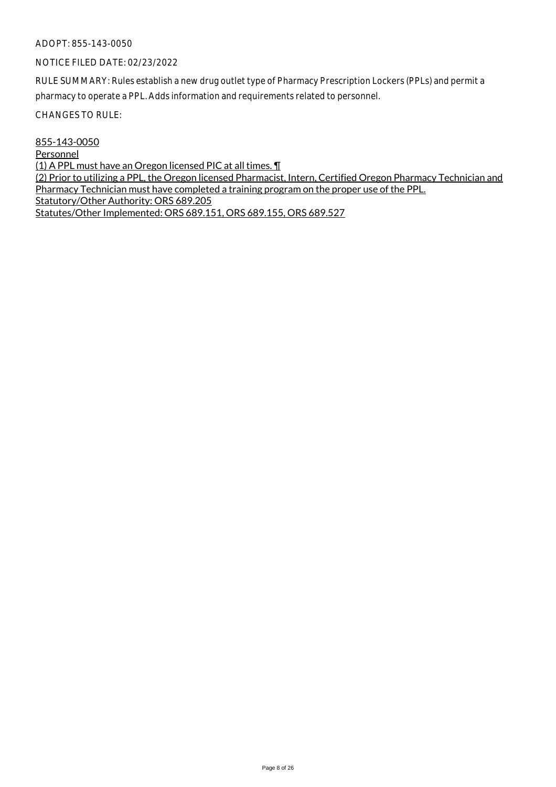# NOTICE FILED DATE: 02/23/2022

RULE SUMMARY: Rules establish a new drug outlet type of Pharmacy Prescription Lockers (PPLs) and permit a pharmacy to operate a PPL. Adds information and requirements related to personnel.

CHANGES TO RULE:

855-143-0050

Personnel

(1) A PPL must have an Oregon licensed PIC at all times. ¶

(2) Prior to utilizing a PPL, the Oregon licensed Pharmacist, Intern, Certified Oregon Pharmacy Technician and Pharmacy Technician must have completed a training program on the proper use of the PPL. Statutory/Other Authority: ORS 689.205 Statutes/Other Implemented: ORS 689.151, ORS 689.155, ORS 689.527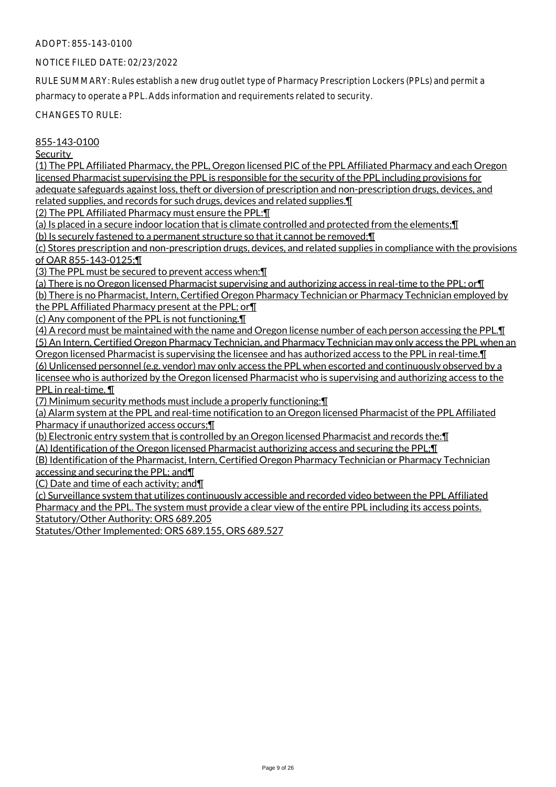# NOTICE FILED DATE: 02/23/2022

RULE SUMMARY: Rules establish a new drug outlet type of Pharmacy Prescription Lockers (PPLs) and permit a pharmacy to operate a PPL. Adds information and requirements related to security.

CHANGES TO RULE:

#### 855-143-0100

**Security** 

(1) The PPL Affiliated Pharmacy, the PPL, Oregon licensed PIC of the PPL Affiliated Pharmacy and each Oregon licensed Pharmacist supervising the PPL is responsible for the security of the PPL including provisions for adequate safeguards against loss, theft or diversion of prescription and non-prescription drugs, devices, and related supplies, and records for such drugs, devices and related supplies.¶

(2) The PPL Affiliated Pharmacy must ensure the PPL:¶

(a) Is placed in a secure indoor location that is climate controlled and protected from the elements;¶ (b) Is securely fastened to a permanent structure so that it cannot be removed;¶

(c) Stores prescription and non-prescription drugs, devices, and related supplies in compliance with the provisions of OAR 855-143-0125;¶

(3) The PPL must be secured to prevent access when: [1]

(a) There is no Oregon licensed Pharmacist supervising and authorizing access in real-time to the PPL; or¶ (b) There is no Pharmacist, Intern, Certified Oregon Pharmacy Technician or Pharmacy Technician employed by

the PPL Affiliated Pharmacy present at the PPL; or¶

(c) Any component of the PPL is not functioning.¶

(4) A record must be maintained with the name and Oregon license number of each person accessing the PPL.¶ (5) An Intern, Certified Oregon Pharmacy Technician, and Pharmacy Technician may only access the PPL when an Oregon licensed Pharmacist is supervising the licensee and has authorized access to the PPL in real-time.¶ (6) Unlicensed personnel (e.g. vendor) may only access the PPL when escorted and continuously observed by a

licensee who is authorized by the Oregon licensed Pharmacist who is supervising and authorizing access to the PPL in real-time. ¶

(7) Minimum security methods must include a properly functioning:¶

(a) Alarm system at the PPL and real-time notification to an Oregon licensed Pharmacist of the PPL Affiliated Pharmacy if unauthorized access occurs;¶

(b) Electronic entry system that is controlled by an Oregon licensed Pharmacist and records the:¶

(A) Identification of the Oregon licensed Pharmacist authorizing access and securing the PPL;¶

(B) Identification of the Pharmacist, Intern, Certified Oregon Pharmacy Technician or Pharmacy Technician accessing and securing the PPL; and¶

(C) Date and time of each activity; and¶

(c) Surveillance system that utilizes continuously accessible and recorded video between the PPL Affiliated Pharmacy and the PPL. The system must provide a clear view of the entire PPL including its access points. Statutory/Other Authority: ORS 689.205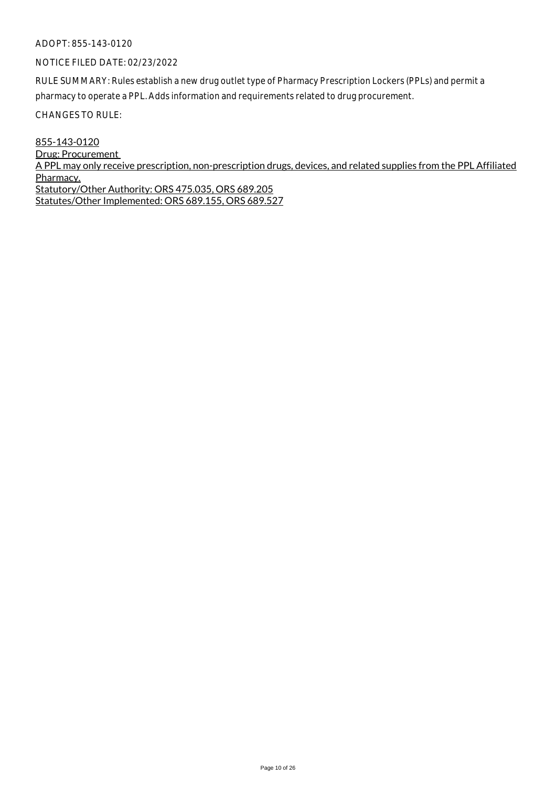# NOTICE FILED DATE: 02/23/2022

RULE SUMMARY: Rules establish a new drug outlet type of Pharmacy Prescription Lockers (PPLs) and permit a pharmacy to operate a PPL. Adds information and requirements related to drug procurement.

CHANGES TO RULE:

855-143-0120 Drug: Procurement A PPL may only receive prescription, non-prescription drugs, devices, and related supplies from the PPL Affiliated Pharmacy. Statutory/Other Authority: ORS 475.035, ORS 689.205 Statutes/Other Implemented: ORS 689.155, ORS 689.527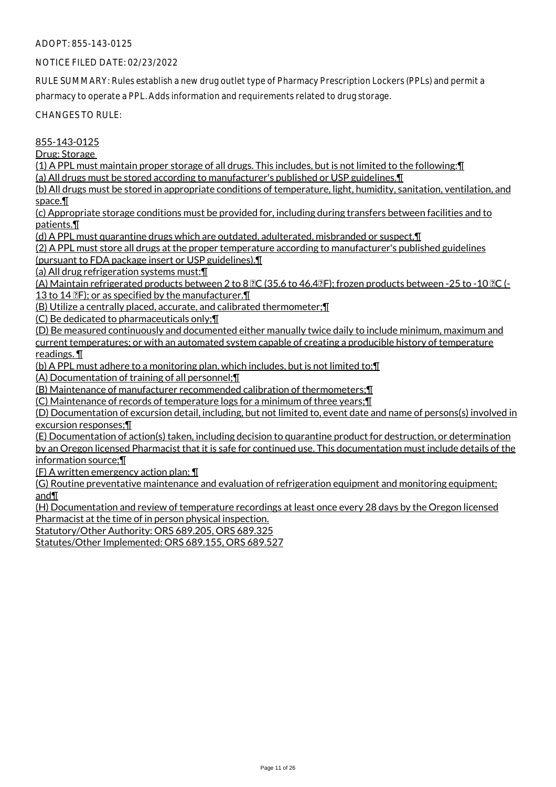# NOTICE FILED DATE: 02/23/2022

RULE SUMMARY: Rules establish a new drug outlet type of Pharmacy Prescription Lockers (PPLs) and permit a pharmacy to operate a PPL. Adds information and requirements related to drug storage.

CHANGES TO RULE:

# 855-143-0125

Drug: Storage

(1) A PPL must maintain proper storage of all drugs. This includes, but is not limited to the following:¶ (a) All drugs must be stored according to manufacturer's published or USP guidelines.¶

(b) All drugs must be stored in appropriate conditions of temperature, light, humidity, sanitation, ventilation, and space.¶

(c) Appropriate storage conditions must be provided for, including during transfers between facilities and to patients.¶

(d) A PPL must quarantine drugs which are outdated, adulterated, misbranded or suspect.¶

(2) A PPL must store all drugs at the proper temperature according to manufacturer's published guidelines

(pursuant to FDA package insert or USP guidelines).¶

(a) All drug refrigeration systems must:¶

(A) Maintain refrigerated products between 2 to 8  $\overline{2}C$  (35.6 to 46.4 $\overline{2}F$ ); frozen products between -25 to -10  $\overline{2}C$  (-13 to 14  $\mathbb{R}$ ); or as specified by the manufacturer.  $\P$ 

(B) Utilize a centrally placed, accurate, and calibrated thermometer;¶

(C) Be dedicated to pharmaceuticals only;¶

(D) Be measured continuously and documented either manually twice daily to include minimum, maximum and current temperatures; or with an automated system capable of creating a producible history of temperature readings. ¶

(b) A PPL must adhere to a monitoring plan, which includes, but is not limited to:¶

(A) Documentation of training of all personnel;¶

(B) Maintenance of manufacturer recommended calibration of thermometers;¶

(C) Maintenance of records of temperature logs for a minimum of three years;¶

(D) Documentation of excursion detail, including, but not limited to, event date and name of persons(s) involved in excursion responses;¶

(E) Documentation of action(s) taken, including decision to quarantine product for destruction, or determination by an Oregon licensed Pharmacist that it is safe for continued use. This documentation must include details of the information source;¶

(F) A written emergency action plan; ¶

(G) Routine preventative maintenance and evaluation of refrigeration equipment and monitoring equipment; and¶

(H) Documentation and review of temperature recordings at least once every 28 days by the Oregon licensed Pharmacist at the time of in person physical inspection.

Statutory/Other Authority: ORS 689.205, ORS 689.325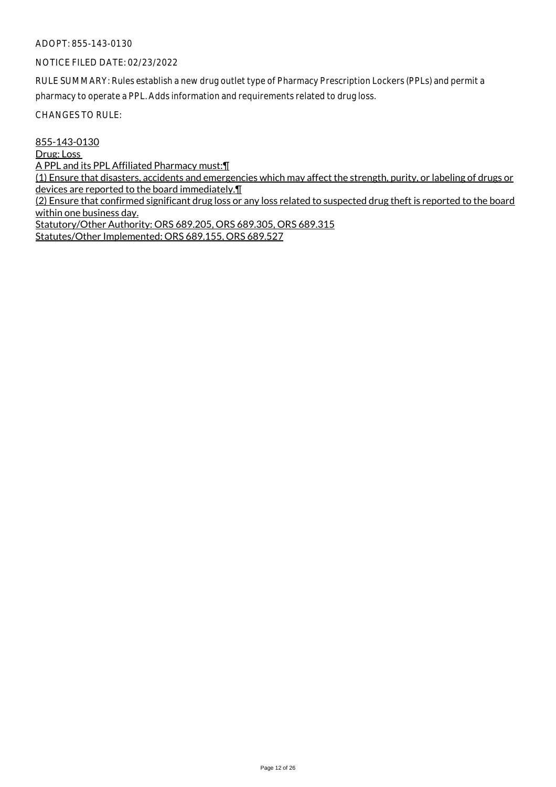# NOTICE FILED DATE: 02/23/2022

RULE SUMMARY: Rules establish a new drug outlet type of Pharmacy Prescription Lockers (PPLs) and permit a pharmacy to operate a PPL. Adds information and requirements related to drug loss.

CHANGES TO RULE:

855-143-0130

Drug: Loss

A PPL and its PPL Affiliated Pharmacy must:¶

(1) Ensure that disasters, accidents and emergencies which may affect the strength, purity, or labeling of drugs or devices are reported to the board immediately.¶

(2) Ensure that confirmed significant drug loss or any loss related to suspected drug theft is reported to the board within one business day.

Statutory/Other Authority: ORS 689.205, ORS 689.305, ORS 689.315 Statutes/Other Implemented: ORS 689.155, ORS 689.527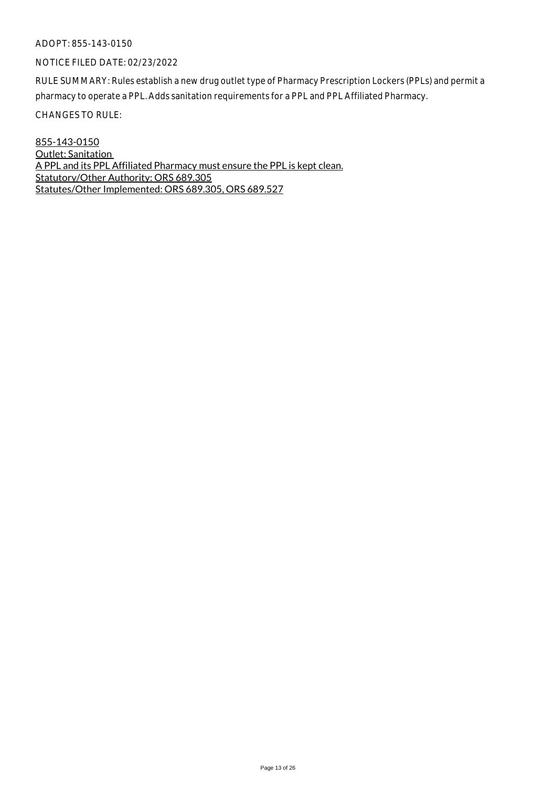#### NOTICE FILED DATE: 02/23/2022

RULE SUMMARY: Rules establish a new drug outlet type of Pharmacy Prescription Lockers (PPLs) and permit a pharmacy to operate a PPL. Adds sanitation requirements for a PPL and PPL Affiliated Pharmacy.

CHANGES TO RULE:

855-143-0150 Outlet: Sanitation A PPL and its PPL Affiliated Pharmacy must ensure the PPL is kept clean. Statutory/Other Authority: ORS 689.305 Statutes/Other Implemented: ORS 689.305, ORS 689.527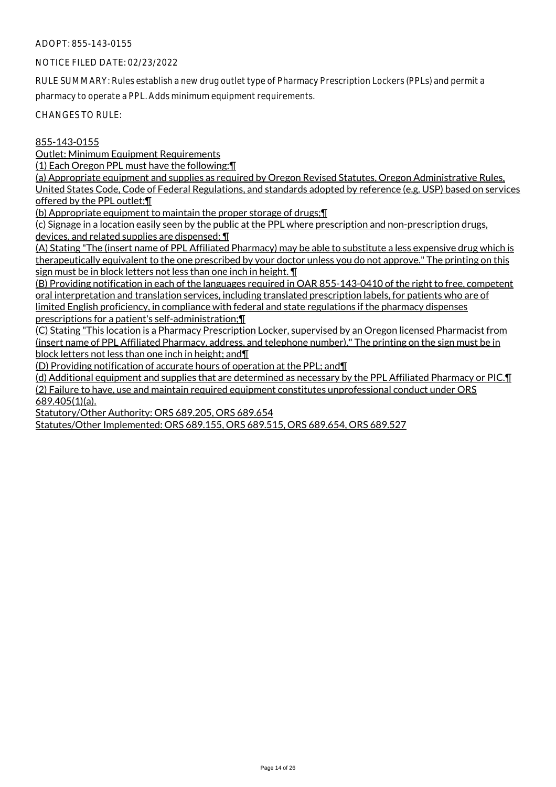# NOTICE FILED DATE: 02/23/2022

RULE SUMMARY: Rules establish a new drug outlet type of Pharmacy Prescription Lockers (PPLs) and permit a pharmacy to operate a PPL. Adds minimum equipment requirements.

CHANGES TO RULE:

# 855-143-0155

Outlet: Minimum Equipment Requirements

(1) Each Oregon PPL must have the following:¶

(a) Appropriate equipment and supplies as required by Oregon Revised Statutes, Oregon Administrative Rules, United States Code, Code of Federal Regulations, and standards adopted by reference (e.g. USP) based on services offered by the PPL outlet;¶

(b) Appropriate equipment to maintain the proper storage of drugs;¶

(c) Signage in a location easily seen by the public at the PPL where prescription and non-prescription drugs, devices, and related supplies are dispensed: ¶

(A) Stating "The (insert name of PPL Affiliated Pharmacy) may be able to substitute a less expensive drug which is therapeutically equivalent to the one prescribed by your doctor unless you do not approve." The printing on this sign must be in block letters not less than one inch in height.  $\P$ 

(B) Providing notification in each of the languages required in OAR 855-143-0410 of the right to free, competent oral interpretation and translation services, including translated prescription labels, for patients who are of limited English proficiency, in compliance with federal and state regulations if the pharmacy dispenses prescriptions for a patient's self-administration;¶

(C) Stating "This location is a Pharmacy Prescription Locker, supervised by an Oregon licensed Pharmacist from (insert name of PPL Affiliated Pharmacy, address, and telephone number)." The printing on the sign must be in block letters not less than one inch in height; and¶

(D) Providing notification of accurate hours of operation at the PPL; and¶

(d) Additional equipment and supplies that are determined as necessary by the PPL Affiliated Pharmacy or PIC.¶ (2) Failure to have, use and maintain required equipment constitutes unprofessional conduct under ORS 689.405(1)(a).

Statutory/Other Authority: ORS 689.205, ORS 689.654

Statutes/Other Implemented: ORS 689.155, ORS 689.515, ORS 689.654, ORS 689.527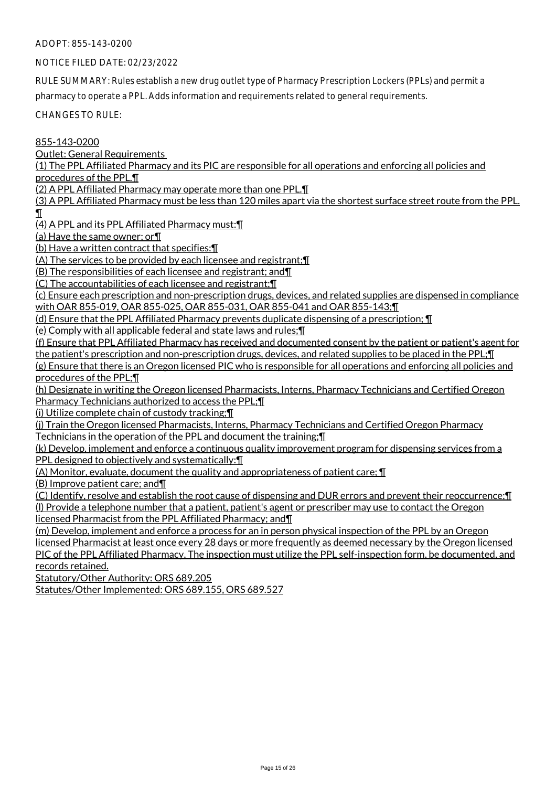# NOTICE FILED DATE: 02/23/2022

RULE SUMMARY: Rules establish a new drug outlet type of Pharmacy Prescription Lockers (PPLs) and permit a pharmacy to operate a PPL. Adds information and requirements related to general requirements.

CHANGES TO RULE:

855-143-0200

Outlet: General Requirements

(1) The PPL Affiliated Pharmacy and its PIC are responsible for all operations and enforcing all policies and procedures of the PPL.¶

(2) A PPL Affiliated Pharmacy may operate more than one PPL.¶

(3) A PPL Affiliated Pharmacy must be less than 120 miles apart via the shortest surface street route from the PPL.  $\mathbf I$ 

(4) A PPL and its PPL Affiliated Pharmacy must:¶

(a) Have the same owner; or¶

(b) Have a written contract that specifies:¶

(A) The services to be provided by each licensee and registrant;¶

(B) The responsibilities of each licensee and registrant; and¶

(C) The accountabilities of each licensee and registrant;¶

(c) Ensure each prescription and non-prescription drugs, devices, and related supplies are dispensed in compliance with OAR 855-019, OAR 855-025, OAR 855-031, OAR 855-041 and OAR 855-143;¶

(d) Ensure that the PPL Affiliated Pharmacy prevents duplicate dispensing of a prescription; ¶

(e) Comply with all applicable federal and state laws and rules;¶

(f) Ensure that PPL Affiliated Pharmacy has received and documented consent by the patient or patient's agent for the patient's prescription and non-prescription drugs, devices, and related supplies to be placed in the PPL;¶

(g) Ensure that there is an Oregon licensed PIC who is responsible for all operations and enforcing all policies and procedures of the PPL;¶

(h) Designate in writing the Oregon licensed Pharmacists, Interns, Pharmacy Technicians and Certified Oregon Pharmacy Technicians authorized to access the PPL;¶

(i) Utilize complete chain of custody tracking;¶

(j) Train the Oregon licensed Pharmacists, Interns, Pharmacy Technicians and Certified Oregon Pharmacy Technicians in the operation of the PPL and document the training;¶

(k) Develop, implement and enforce a continuous quality improvement program for dispensing services from a PPL designed to objectively and systematically:¶

(A) Monitor, evaluate, document the quality and appropriateness of patient care; ¶

(B) Improve patient care; and¶

(C) Identify, resolve and establish the root cause of dispensing and DUR errors and prevent their reoccurrence;¶ (l) Provide a telephone number that a patient, patient's agent or prescriber may use to contact the Oregon licensed Pharmacist from the PPL Affiliated Pharmacy; and¶

(m) Develop, implement and enforce a process for an in person physical inspection of the PPL by an Oregon licensed Pharmacist at least once every 28 days or more frequently as deemed necessary by the Oregon licensed PIC of the PPL Affiliated Pharmacy. The inspection must utilize the PPL self-inspection form, be documented, and records retained.

Statutory/Other Authority: ORS 689.205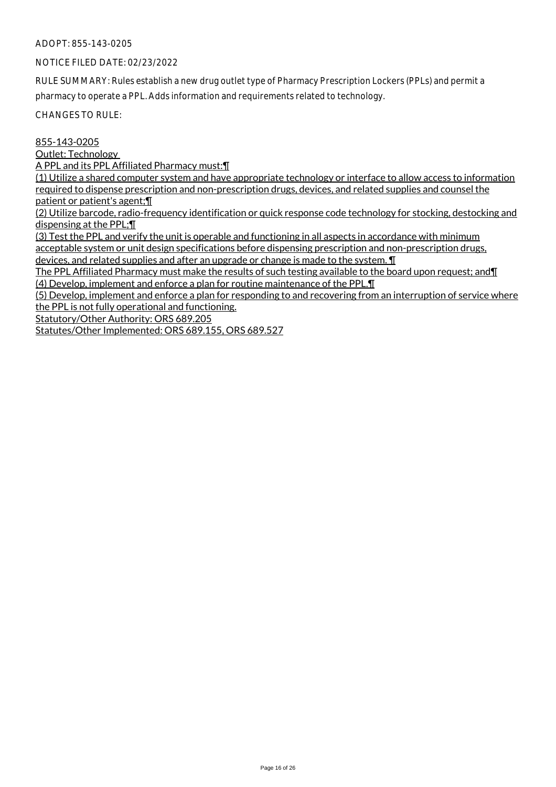# NOTICE FILED DATE: 02/23/2022

RULE SUMMARY: Rules establish a new drug outlet type of Pharmacy Prescription Lockers (PPLs) and permit a pharmacy to operate a PPL. Adds information and requirements related to technology.

CHANGES TO RULE:

855-143-0205

Outlet: Technology

A PPL and its PPL Affiliated Pharmacy must:¶

(1) Utilize a shared computer system and have appropriate technology or interface to allow access to information required to dispense prescription and non-prescription drugs, devices, and related supplies and counsel the patient or patient's agent;¶

(2) Utilize barcode, radio-frequency identification or quick response code technology for stocking, destocking and dispensing at the PPL;¶

(3) Test the PPL and verify the unit is operable and functioning in all aspects in accordance with minimum acceptable system or unit design specifications before dispensing prescription and non-prescription drugs, devices, and related supplies and after an upgrade or change is made to the system. ¶

The PPL Affiliated Pharmacy must make the results of such testing available to the board upon request; and¶ (4) Develop, implement and enforce a plan for routine maintenance of the PPL.¶

(5) Develop, implement and enforce a plan for responding to and recovering from an interruption of service where the PPL is not fully operational and functioning.

Statutory/Other Authority: ORS 689.205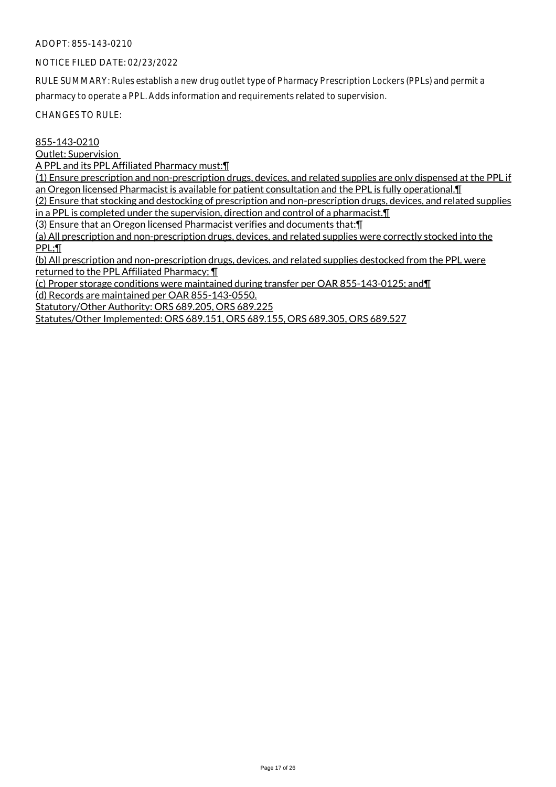# NOTICE FILED DATE: 02/23/2022

RULE SUMMARY: Rules establish a new drug outlet type of Pharmacy Prescription Lockers (PPLs) and permit a pharmacy to operate a PPL. Adds information and requirements related to supervision.

CHANGES TO RULE:

# 855-143-0210

Outlet: Supervision

A PPL and its PPL Affiliated Pharmacy must:¶

(1) Ensure prescription and non-prescription drugs, devices, and related supplies are only dispensed at the PPL if an Oregon licensed Pharmacist is available for patient consultation and the PPL is fully operational.¶

(2) Ensure that stocking and destocking of prescription and non-prescription drugs, devices, and related supplies in a PPL is completed under the supervision, direction and control of a pharmacist.¶

(3) Ensure that an Oregon licensed Pharmacist verifies and documents that:¶

(a) All prescription and non-prescription drugs, devices, and related supplies were correctly stocked into the PPL;¶

(b) All prescription and non-prescription drugs, devices, and related supplies destocked from the PPL were returned to the PPL Affiliated Pharmacy; ¶

(c) Proper storage conditions were maintained during transfer per OAR 855-143-0125; and¶ (d) Records are maintained per OAR 855-143-0550.

Statutory/Other Authority: ORS 689.205, ORS 689.225

Statutes/Other Implemented: ORS 689.151, ORS 689.155, ORS 689.305, ORS 689.527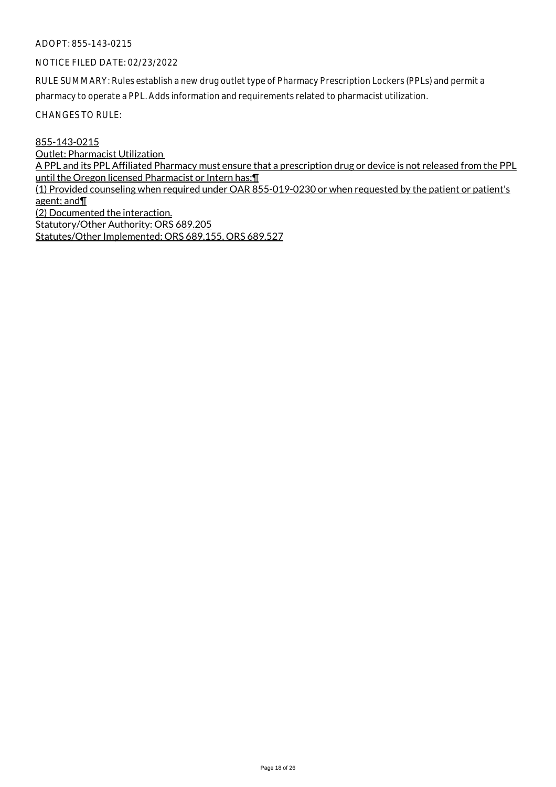# NOTICE FILED DATE: 02/23/2022

RULE SUMMARY: Rules establish a new drug outlet type of Pharmacy Prescription Lockers (PPLs) and permit a pharmacy to operate a PPL. Adds information and requirements related to pharmacist utilization.

CHANGES TO RULE:

855-143-0215

Outlet: Pharmacist Utilization

A PPL and its PPL Affiliated Pharmacy must ensure that a prescription drug or device is not released from the PPL until the Oregon licensed Pharmacist or Intern has: [1]

(1) Provided counseling when required under OAR 855-019-0230 or when requested by the patient or patient's agent; and¶

(2) Documented the interaction.

Statutory/Other Authority: ORS 689.205 Statutes/Other Implemented: ORS 689.155, ORS 689.527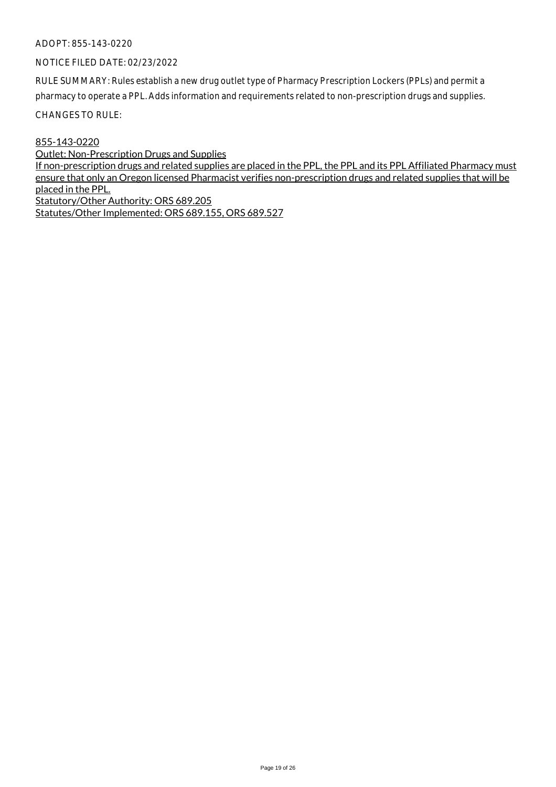#### NOTICE FILED DATE: 02/23/2022

RULE SUMMARY: Rules establish a new drug outlet type of Pharmacy Prescription Lockers (PPLs) and permit a pharmacy to operate a PPL. Adds information and requirements related to non-prescription drugs and supplies.

CHANGES TO RULE:

855-143-0220

Outlet: Non-Prescription Drugs and Supplies If non-prescription drugs and related supplies are placed in the PPL, the PPL and its PPL Affiliated Pharmacy must ensure that only an Oregon licensed Pharmacist verifies non-prescription drugs and related supplies that will be placed in the PPL. Statutory/Other Authority: ORS 689.205 Statutes/Other Implemented: ORS 689.155, ORS 689.527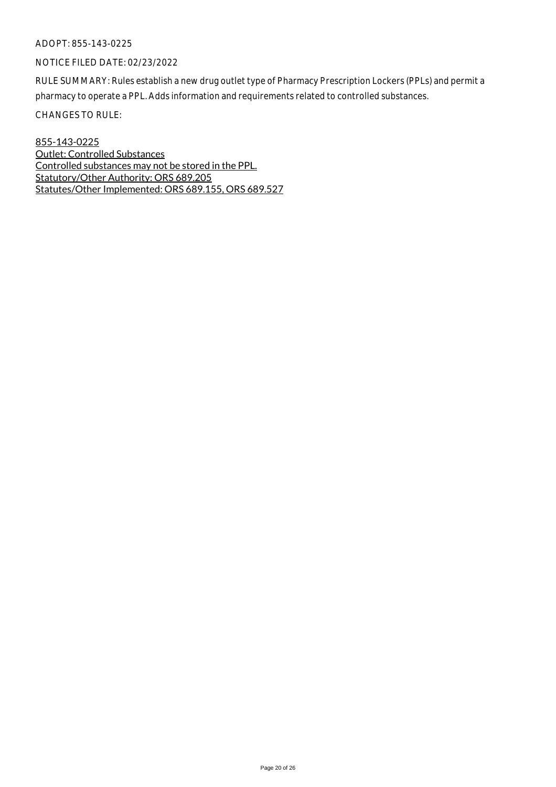# NOTICE FILED DATE: 02/23/2022

RULE SUMMARY: Rules establish a new drug outlet type of Pharmacy Prescription Lockers (PPLs) and permit a pharmacy to operate a PPL. Adds information and requirements related to controlled substances.

CHANGES TO RULE:

855-143-0225 Outlet: Controlled Substances Controlled substances may not be stored in the PPL. Statutory/Other Authority: ORS 689.205 Statutes/Other Implemented: ORS 689.155, ORS 689.527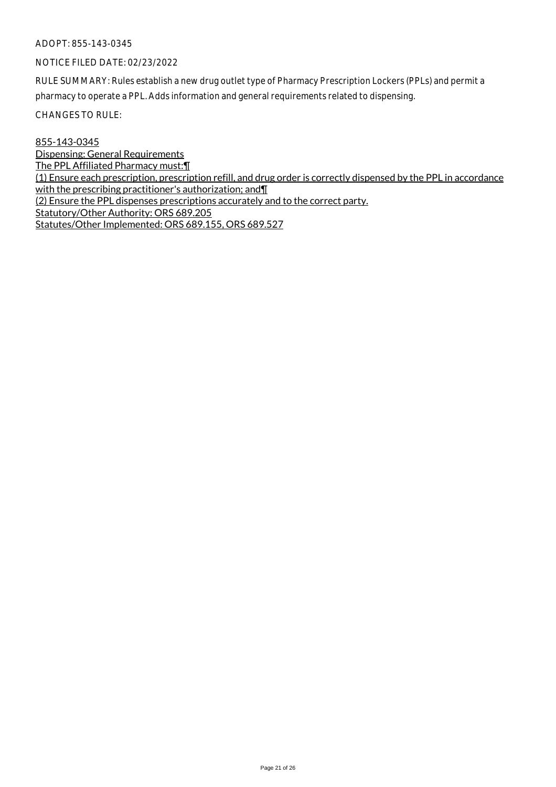# NOTICE FILED DATE: 02/23/2022

RULE SUMMARY: Rules establish a new drug outlet type of Pharmacy Prescription Lockers (PPLs) and permit a pharmacy to operate a PPL. Adds information and general requirements related to dispensing.

CHANGES TO RULE:

855-143-0345 Dispensing: General Requirements The PPL Affiliated Pharmacy must:¶ (1) Ensure each prescription, prescription refill, and drug order is correctly dispensed by the PPL in accordance with the prescribing practitioner's authorization; and II (2) Ensure the PPL dispenses prescriptions accurately and to the correct party. Statutory/Other Authority: ORS 689.205 Statutes/Other Implemented: ORS 689.155, ORS 689.527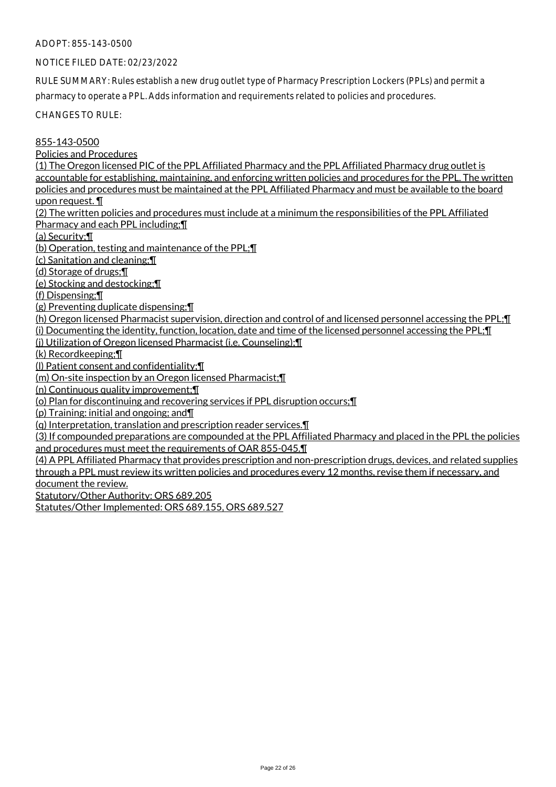# NOTICE FILED DATE: 02/23/2022

RULE SUMMARY: Rules establish a new drug outlet type of Pharmacy Prescription Lockers (PPLs) and permit a pharmacy to operate a PPL. Adds information and requirements related to policies and procedures.

CHANGES TO RULE:

# 855-143-0500

Policies and Procedures

(1) The Oregon licensed PIC of the PPL Affiliated Pharmacy and the PPL Affiliated Pharmacy drug outlet is accountable for establishing, maintaining, and enforcing written policies and procedures for the PPL. The written policies and procedures must be maintained at the PPL Affiliated Pharmacy and must be available to the board upon request. ¶

(2) The written policies and procedures must include at a minimum the responsibilities of the PPL Affiliated Pharmacy and each PPL including;¶

(a) Security;¶

(b) Operation, testing and maintenance of the PPL;¶

(c) Sanitation and cleaning;¶

(d) Storage of drugs;¶

(e) Stocking and destocking;¶

(f) Dispensing;¶

(g) Preventing duplicate dispensing;¶

(h) Oregon licensed Pharmacist supervision, direction and control of and licensed personnel accessing the PPL;¶

(i) Documenting the identity, function, location, date and time of the licensed personnel accessing the PPL;¶

(j) Utilization of Oregon licensed Pharmacist (i.e. Counseling);¶

(k) Recordkeeping;¶

(l) Patient consent and confidentiality;¶

(m) On-site inspection by an Oregon licensed Pharmacist;¶

(n) Continuous quality improvement;¶

(o) Plan for discontinuing and recovering services if PPL disruption occurs;¶

(p) Training: initial and ongoing; and¶

(q) Interpretation, translation and prescription reader services.¶

(3) If compounded preparations are compounded at the PPL Affiliated Pharmacy and placed in the PPL the policies and procedures must meet the requirements of OAR 855-045.¶

(4) A PPL Affiliated Pharmacy that provides prescription and non-prescription drugs, devices, and related supplies through a PPL must review its written policies and procedures every 12 months, revise them if necessary, and document the review.

Statutory/Other Authority: ORS 689.205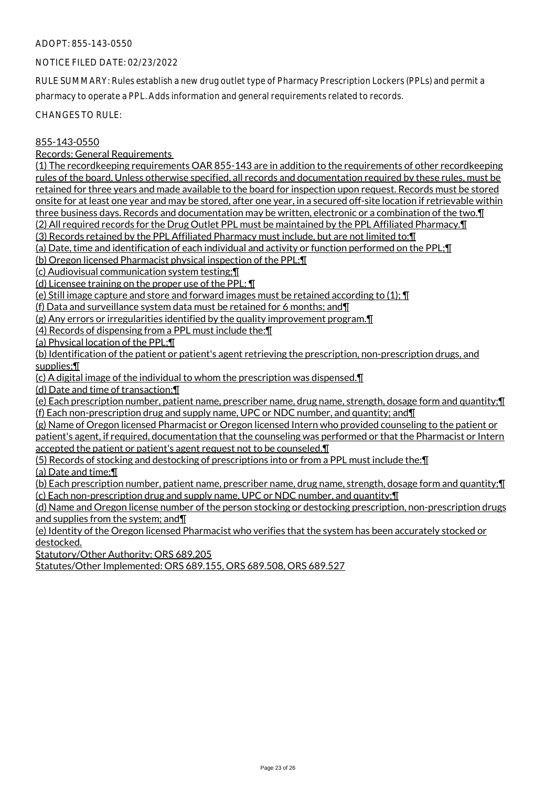# NOTICE FILED DATE: 02/23/2022

RULE SUMMARY: Rules establish a new drug outlet type of Pharmacy Prescription Lockers (PPLs) and permit a pharmacy to operate a PPL. Adds information and general requirements related to records.

CHANGES TO RULE:

# 855-143-0550

Records: General Requirements

(1) The recordkeeping requirements OAR 855-143 are in addition to the requirements of other recordkeeping rules of the board. Unless otherwise specified, all records and documentation required by these rules, must be retained for three years and made available to the board for inspection upon request. Records must be stored onsite for at least one year and may be stored, after one year, in a secured off-site location if retrievable within three business days. Records and documentation may be written, electronic or a combination of the two.¶

(2) All required records for the Drug Outlet PPL must be maintained by the PPL Affiliated Pharmacy.¶

(3) Records retained by the PPL Affiliated Pharmacy must include, but are not limited to:¶

(a) Date, time and identification of each individual and activity or function performed on the PPL;¶

(b) Oregon licensed Pharmacist physical inspection of the PPL;¶

(c) Audiovisual communication system testing;¶

(d) Licensee training on the proper use of the PPL; ¶

(e) Still image capture and store and forward images must be retained according to (1); ¶

(f) Data and surveillance system data must be retained for 6 months; and¶

(g) Any errors or irregularities identified by the quality improvement program.¶

(4) Records of dispensing from a PPL must include the:¶

(a) Physical location of the PPL;¶

(b) Identification of the patient or patient's agent retrieving the prescription, non-prescription drugs, and supplies;¶

(c) A digital image of the individual to whom the prescription was dispensed.¶

(d) Date and time of transaction;¶

(e) Each prescription number, patient name, prescriber name, drug name, strength, dosage form and quantity;¶ (f) Each non-prescription drug and supply name, UPC or NDC number, and quantity; and¶

(g) Name of Oregon licensed Pharmacist or Oregon licensed Intern who provided counseling to the patient or patient's agent, if required, documentation that the counseling was performed or that the Pharmacist or Intern accepted the patient or patient's agent request not to be counseled.¶

(5) Records of stocking and destocking of prescriptions into or from a PPL must include the:¶

(a) Date and time;¶

(b) Each prescription number, patient name, prescriber name, drug name, strength, dosage form and quantity;¶ (c) Each non-prescription drug and supply name, UPC or NDC number, and quantity;¶

(d) Name and Oregon license number of the person stocking or destocking prescription, non-prescription drugs and supplies from the system; and¶

(e) Identity of the Oregon licensed Pharmacist who verifies that the system has been accurately stocked or destocked.

Statutory/Other Authority: ORS 689.205

Statutes/Other Implemented: ORS 689.155, ORS 689.508, ORS 689.527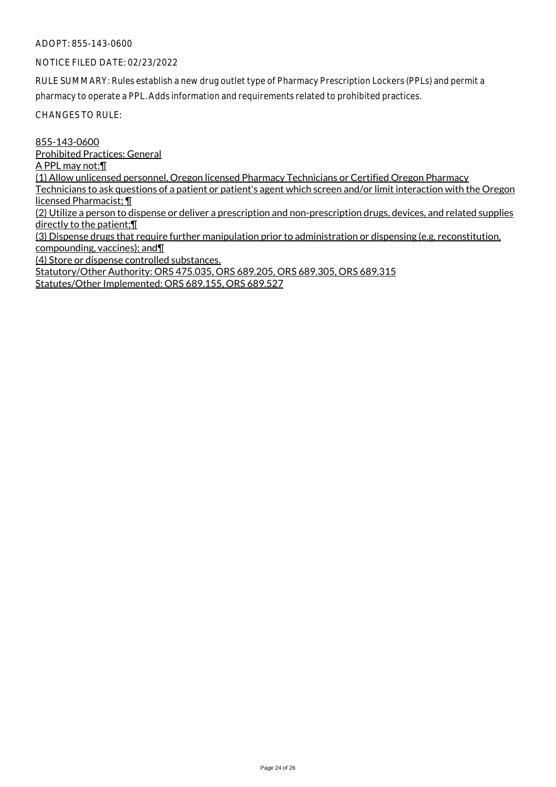# NOTICE FILED DATE: 02/23/2022

RULE SUMMARY: Rules establish a new drug outlet type of Pharmacy Prescription Lockers (PPLs) and permit a pharmacy to operate a PPL. Adds information and requirements related to prohibited practices.

CHANGES TO RULE:

855-143-0600 Prohibited Practices: General A PPL may not:¶ (1) Allow unlicensed personnel, Oregon licensed Pharmacy Technicians or Certified Oregon Pharmacy Technicians to ask questions of a patient or patient's agent which screen and/or limit interaction with the Oregon licensed Pharmacist; ¶ (2) Utilize a person to dispense or deliver a prescription and non-prescription drugs, devices, and related supplies directly to the patient;¶ (3) Dispense drugs that require further manipulation prior to administration or dispensing (e.g. reconstitution, compounding, vaccines); and¶ (4) Store or dispense controlled substances. Statutory/Other Authority: ORS 475.035, ORS 689.205, ORS 689.305, ORS 689.315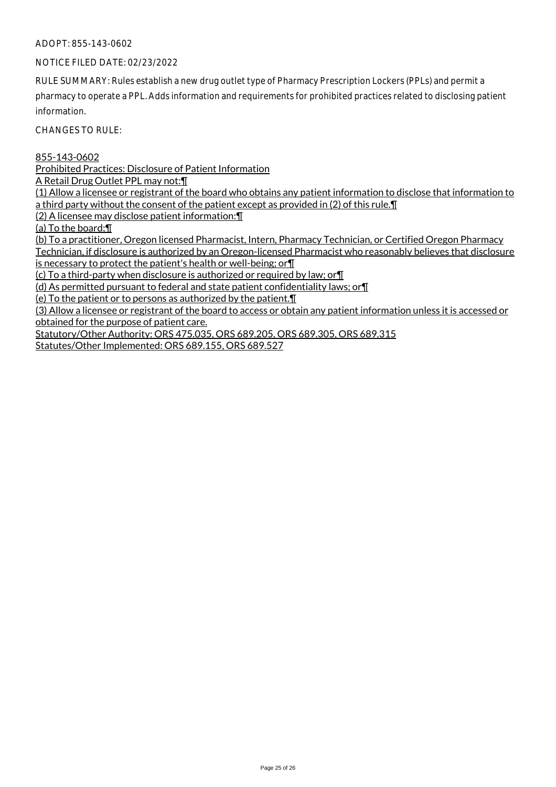# NOTICE FILED DATE: 02/23/2022

RULE SUMMARY: Rules establish a new drug outlet type of Pharmacy Prescription Lockers (PPLs) and permit a pharmacy to operate a PPL. Adds information and requirements for prohibited practices related to disclosing patient information.

CHANGES TO RULE:

855-143-0602

Prohibited Practices: Disclosure of Patient Information

A Retail Drug Outlet PPL may not:¶

(1) Allow a licensee or registrant of the board who obtains any patient information to disclose that information to a third party without the consent of the patient except as provided in (2) of this rule.¶

(2) A licensee may disclose patient information:¶

(a) To the board;¶

(b) To a practitioner, Oregon licensed Pharmacist, Intern, Pharmacy Technician, or Certified Oregon Pharmacy Technician, if disclosure is authorized by an Oregon-licensed Pharmacist who reasonably believes that disclosure

is necessary to protect the patient's health or well-being; or¶

(c) To a third-party when disclosure is authorized or required by law; or¶

(d) As permitted pursuant to federal and state patient confidentiality laws; or¶

(e) To the patient or to persons as authorized by the patient.¶

(3) Allow a licensee or registrant of the board to access or obtain any patient information unless it is accessed or obtained for the purpose of patient care.

Statutory/Other Authority: ORS 475.035, ORS 689.205, ORS 689.305, ORS 689.315 Statutes/Other Implemented: ORS 689.155, ORS 689.527